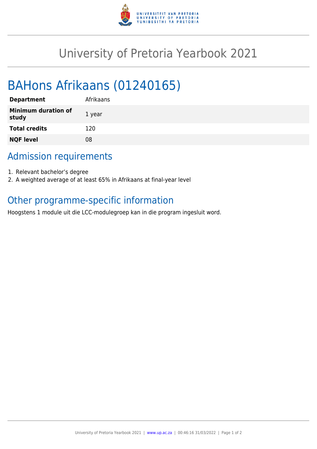

## University of Pretoria Yearbook 2021

# BAHons Afrikaans (01240165)

| <b>Department</b>                   | Afrikaans |
|-------------------------------------|-----------|
| <b>Minimum duration of</b><br>study | 1 year    |
| <b>Total credits</b>                | 120       |
| <b>NQF level</b>                    | 08        |

### Admission requirements

- 1. Relevant bachelor's degree
- 2. A weighted average of at least 65% in Afrikaans at final-year level

## Other programme-specific information

Hoogstens 1 module uit die LCC-modulegroep kan in die program ingesluit word.